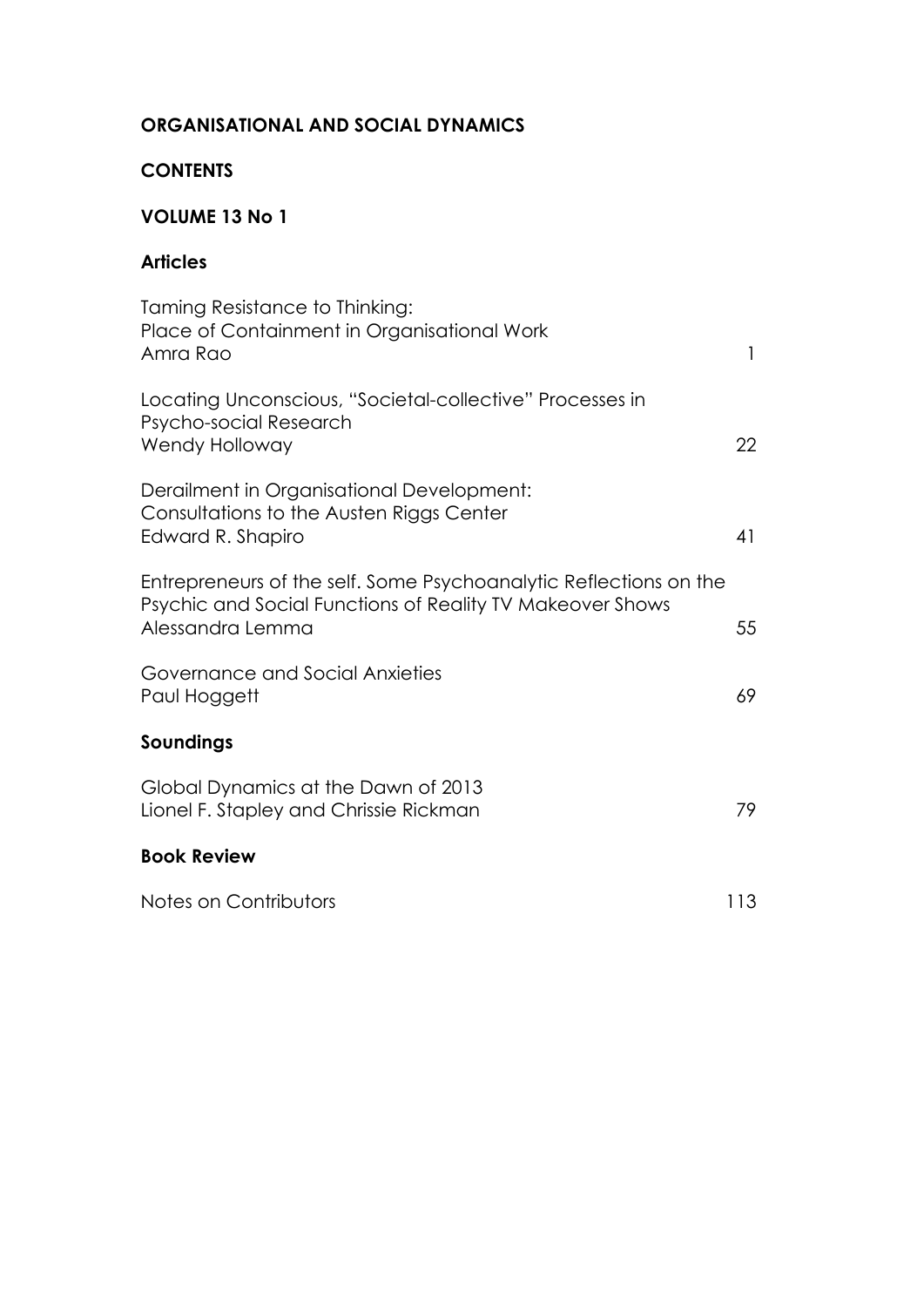### **ORGANISATIONAL AND SOCIAL DYNAMICS**

#### **CONTENTS**

## **VOLUME 13 No 1**

#### **Articles**

| Taming Resistance to Thinking:<br>Place of Containment in Organisational Work<br>Amra Rao                                                          | $\mathbf{1}$ |
|----------------------------------------------------------------------------------------------------------------------------------------------------|--------------|
| Locating Unconscious, "Societal-collective" Processes in<br>Psycho-social Research<br>Wendy Holloway                                               | 22           |
| Derailment in Organisational Development:<br>Consultations to the Austen Riggs Center<br>Edward R. Shapiro                                         | 41           |
| Entrepreneurs of the self. Some Psychoanalytic Reflections on the<br>Psychic and Social Functions of Reality TV Makeover Shows<br>Alessandra Lemma | 55           |
| Governance and Social Anxieties<br>Paul Hoggett                                                                                                    | 69           |
| Soundings                                                                                                                                          |              |
| Global Dynamics at the Dawn of 2013<br>Lionel F. Stapley and Chrissie Rickman                                                                      | 79           |
| <b>Book Review</b>                                                                                                                                 |              |
| Notes on Contributors                                                                                                                              | 113          |